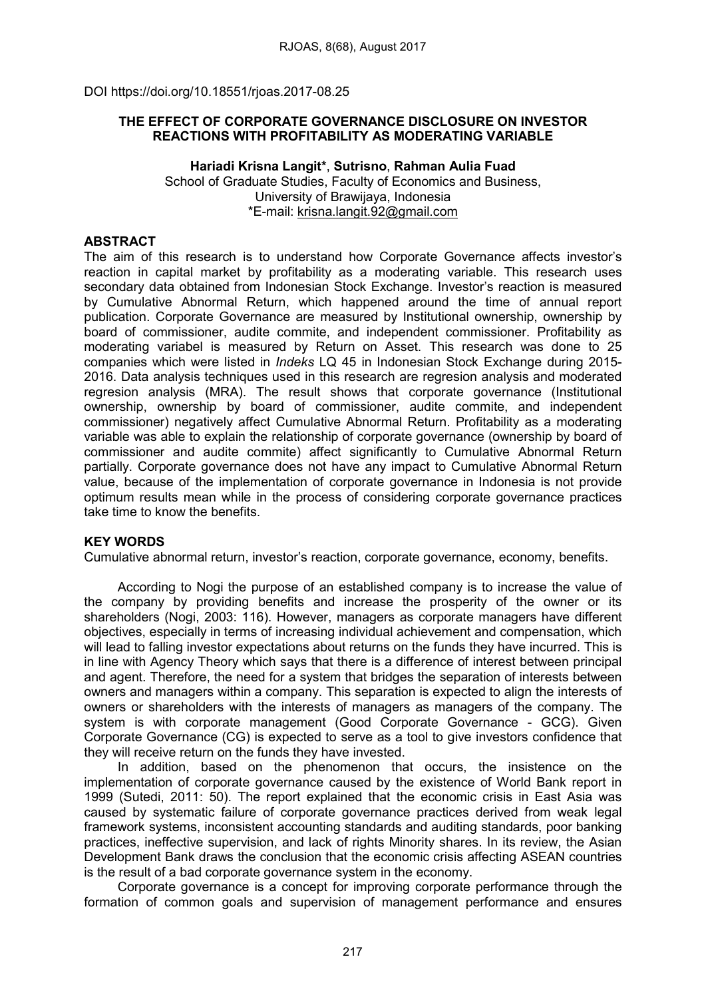DOI https://doi.org/10.18551/rjoas.2017-08.25

# THE EFFECT OF CORPORATE GOVERNANCE DISCLOSURE ON INVESTOR REACTIONS WITH PROFITABILITY AS MODERATING VARIABLE

### Hariadi Krisna Langit\*, Sutrisno, Rahman Aulia Fuad School of Graduate Studies, Faculty of Economics and Business, University of Brawijaya, Indonesia \*E-mail: [krisna.langit.92@gmail.com](mailto:krisna.langit.92@gmail.com)

# ABSTRACT

The aim of this research is to understand how Corporate Governance affects investor's reaction in capital market by profitability as a moderating variable. This research uses secondary data obtained from Indonesian Stock Exchange. Investor's reaction is measured by Cumulative Abnormal Return, which happened around the time of annual report publication. Corporate Governance are measured by Institutional ownership, ownership by board of commissioner, audite commite, and independent commissioner. Profitability as moderating variabel is measured by Return on Asset. This research was done to 25 companies which were listed in *Indeks* LQ 45 in Indonesian Stock Exchange during 2015- 2016. Data analysis techniques used in this research are regresion analysis and moderated regresion analysis (MRA). The result shows that corporate governance (Institutional ownership, ownership by board of commissioner, audite commite, and independent commissioner) negatively affect Cumulative Abnormal Return. Profitability as a moderating variable was able to explain the relationship of corporate governance (ownership by board of commissioner and audite commite) affect significantly to Cumulative Abnormal Return partially. Corporate governance does not have any impact to Cumulative Abnormal Return value, because of the implementation of corporate governance in Indonesia is not provide optimum results mean while in the process of considering corporate governance practices take time to know the benefits.

### KEY WORDS

Cumulative abnormal return, investor's reaction, corporate governance, economy, benefits.

According to Nogi the purpose of an established company is to increase the value of the company by providing benefits and increase the prosperity of the owner or its shareholders (Nogi, 2003: 116). However, managers as corporate managers have different objectives, especially in terms of increasing individual achievement and compensation, which will lead to falling investor expectations about returns on the funds they have incurred. This is in line with Agency Theory which says that there is a difference of interest between principal and agent. Therefore, the need for a system that bridges the separation of interests between owners and managers within a company. This separation is expected to align the interests of owners or shareholders with the interests of managers as managers of the company. The system is with corporate management (Good Corporate Governance - GCG). Given Corporate Governance (CG) is expected to serve as a tool to give investors confidence that they will receive return on the funds they have invested.

In addition, based on the phenomenon that occurs, the insistence on the implementation of corporate governance caused by the existence of World Bank report in 1999 (Sutedi, 2011: 50). The report explained that the economic crisis in East Asia was caused by systematic failure of corporate governance practices derived from weak legal framework systems, inconsistent accounting standards and auditing standards, poor banking practices, ineffective supervision, and lack of rights Minority shares. In its review, the Asian Development Bank draws the conclusion that the economic crisis affecting ASEAN countries is the result of a bad corporate governance system in the economy.

Corporate governance is a concept for improving corporate performance through the formation of common goals and supervision of management performance and ensures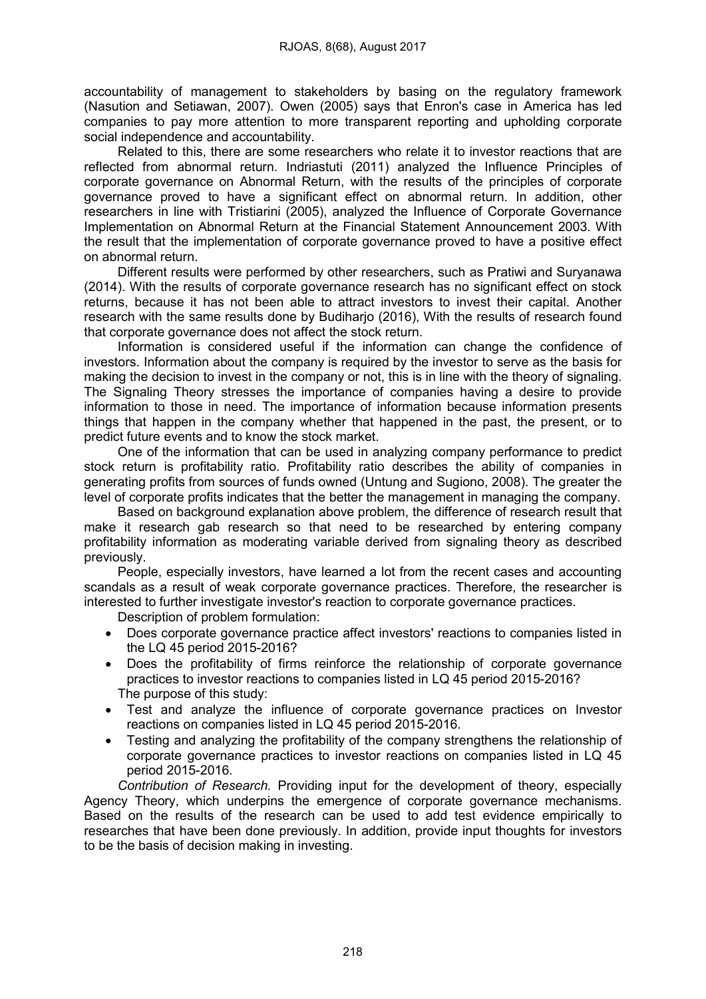accountability of management to stakeholders by basing on the regulatory framework (Nasution and Setiawan, 2007). Owen (2005) says that Enron's case in America has led companies to pay more attention to more transparent reporting and upholding corporate social independence and accountability.

Related to this, there are some researchers who relate it to investor reactions that are reflected from abnormal return. Indriastuti (2011) analyzed the Influence Principles of corporate governance on Abnormal Return, with the results of the principles of corporate governance proved to have a significant effect on abnormal return. In addition, other researchers in line with Tristiarini (2005), analyzed the Influence of Corporate Governance Implementation on Abnormal Return at the Financial Statement Announcement 2003. With the result that the implementation of corporate governance proved to have a positive effect on abnormal return.

Different results were performed by other researchers, such as Pratiwi and Suryanawa (2014). With the results of corporate governance research has no significant effect on stock returns, because it has not been able to attract investors to invest their capital. Another research with the same results done by Budiharjo (2016), With the results of research found that corporate governance does not affect the stock return.

Information is considered useful if the information can change the confidence of investors. Information about the company is required by the investor to serve as the basis for making the decision to invest in the company or not, this is in line with the theory of signaling. The Signaling Theory stresses the importance of companies having a desire to provide information to those in need. The importance of information because information presents things that happen in the company whether that happened in the past, the present, or to predict future events and to know the stock market.

One of the information that can be used in analyzing company performance to predict stock return is profitability ratio. Profitability ratio describes the ability of companies in generating profits from sources of funds owned (Untung and Sugiono, 2008). The greater the level of corporate profits indicates that the better the management in managing the company.

Based on background explanation above problem, the difference of research result that make it research gab research so that need to be researched by entering company profitability information as moderating variable derived from signaling theory as described previously.

People, especially investors, have learned a lot from the recent cases and accounting scandals as a result of weak corporate governance practices. Therefore, the researcher is interested to further investigate investor's reaction to corporate governance practices.

Description of problem formulation:

- Does corporate governance practice affect investors' reactions to companies listed in the LQ 45 period 2015-2016?
- Does the profitability of firms reinforce the relationship of corporate governance practices to investor reactions to companies listed in LQ 45 period 2015-2016? The purpose of this study:
- Test and analyze the influence of corporate governance practices on Investor reactions on companies listed in LQ 45 period 2015-2016.
- Testing and analyzing the profitability of the company strengthens the relationship of corporate governance practices to investor reactions on companies listed in LQ 45 period 2015-2016.

*Contribution of Research.* Providing input for the development of theory, especially Agency Theory, which underpins the emergence of corporate governance mechanisms. Based on the results of the research can be used to add test evidence empirically to researches that have been done previously. In addition, provide input thoughts for investors to be the basis of decision making in investing.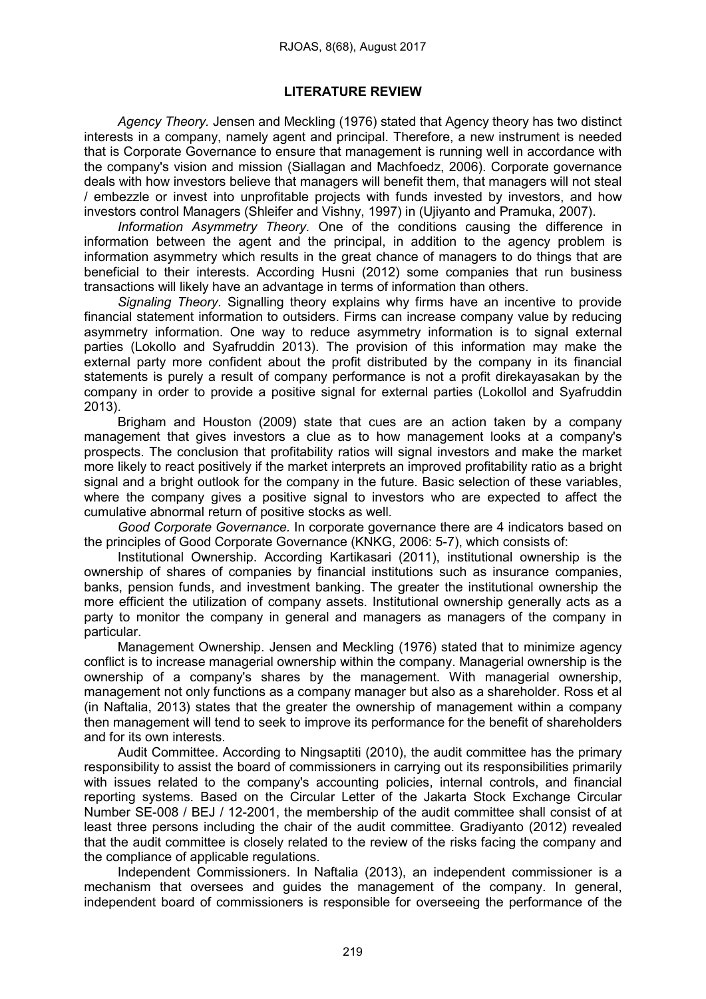# LITERATURE REVIEW

*Agency Theory.* Jensen and Meckling (1976) stated that Agency theory has two distinct interests in a company, namely agent and principal. Therefore, a new instrument is needed that is Corporate Governance to ensure that management is running well in accordance with the company's vision and mission (Siallagan and Machfoedz, 2006). Corporate governance deals with how investors believe that managers will benefit them, that managers will not steal / embezzle or invest into unprofitable projects with funds invested by investors, and how investors control Managers (Shleifer and Vishny, 1997) in (Ujiyanto and Pramuka, 2007).

*Information Asymmetry Theory.* One of the conditions causing the difference in information between the agent and the principal, in addition to the agency problem is information asymmetry which results in the great chance of managers to do things that are beneficial to their interests. According Husni (2012) some companies that run business transactions will likely have an advantage in terms of information than others.

*Signaling Theory.* Signalling theory explains why firms have an incentive to provide financial statement information to outsiders. Firms can increase company value by reducing asymmetry information. One way to reduce asymmetry information is to signal external parties (Lokollo and Syafruddin 2013). The provision of this information may make the external party more confident about the profit distributed by the company in its financial statements is purely a result of company performance is not a profit direkayasakan by the company in order to provide a positive signal for external parties (Lokollol and Syafruddin 2013).

Brigham and Houston (2009) state that cues are an action taken by a company management that gives investors a clue as to how management looks at a company's prospects. The conclusion that profitability ratios will signal investors and make the market more likely to react positively if the market interprets an improved profitability ratio as a bright signal and a bright outlook for the company in the future. Basic selection of these variables, where the company gives a positive signal to investors who are expected to affect the cumulative abnormal return of positive stocks as well.

*Good Corporate Governance.* In corporate governance there are 4 indicators based on the principles of Good Corporate Governance (KNKG, 2006: 5-7), which consists of:

Institutional Ownership. According Kartikasari (2011), institutional ownership is the ownership of shares of companies by financial institutions such as insurance companies, banks, pension funds, and investment banking. The greater the institutional ownership the more efficient the utilization of company assets. Institutional ownership generally acts as a party to monitor the company in general and managers as managers of the company in particular.

Management Ownership. Jensen and Meckling (1976) stated that to minimize agency conflict is to increase managerial ownership within the company. Managerial ownership is the ownership of a company's shares by the management. With managerial ownership, management not only functions as a company manager but also as a shareholder. Ross et al (in Naftalia, 2013) states that the greater the ownership of management within a company then management will tend to seek to improve its performance for the benefit of shareholders and for its own interests.

Audit Committee. According to Ningsaptiti (2010), the audit committee has the primary responsibility to assist the board of commissioners in carrying out its responsibilities primarily with issues related to the company's accounting policies, internal controls, and financial reporting systems. Based on the Circular Letter of the Jakarta Stock Exchange Circular Number SE-008 / BEJ / 12-2001, the membership of the audit committee shall consist of at least three persons including the chair of the audit committee. Gradiyanto (2012) revealed that the audit committee is closely related to the review of the risks facing the company and the compliance of applicable regulations.

Independent Commissioners. In Naftalia (2013), an independent commissioner is a mechanism that oversees and guides the management of the company. In general, independent board of commissioners is responsible for overseeing the performance of the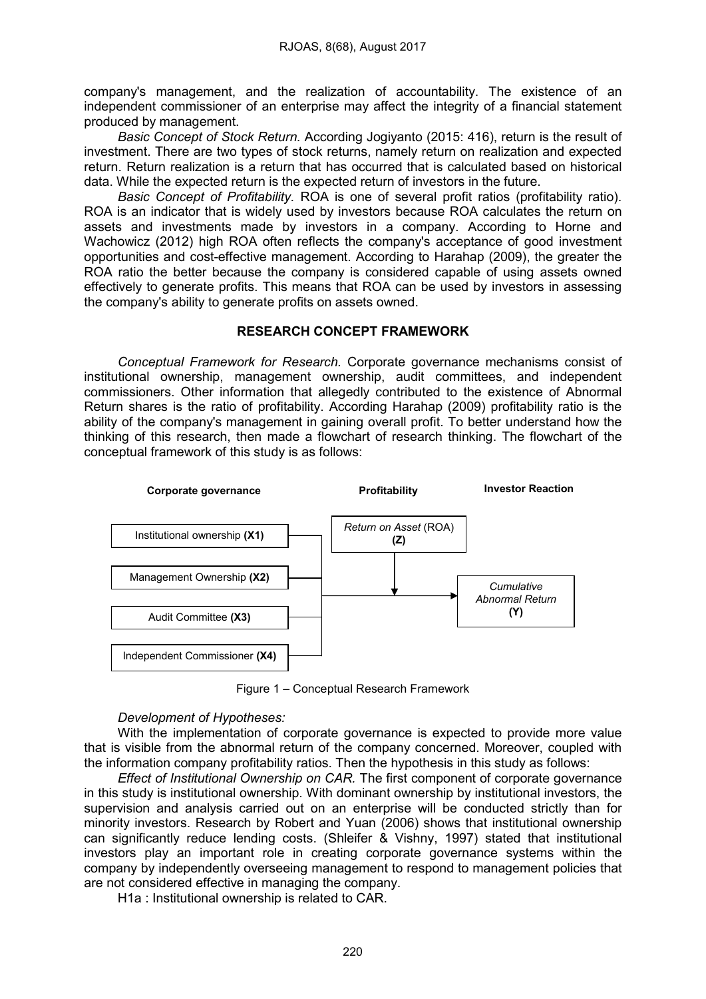company's management, and the realization of accountability. The existence of an independent commissioner of an enterprise may affect the integrity of a financial statement produced by management.

*Basic Concept of Stock Return.* According Jogiyanto (2015: 416), return is the result of investment. There are two types of stock returns, namely return on realization and expected return. Return realization is a return that has occurred that is calculated based on historical data. While the expected return is the expected return of investors in the future.

*Basic Concept of Profitability.* ROA is one of several profit ratios (profitability ratio). ROA is an indicator that is widely used by investors because ROA calculates the return on assets and investments made by investors in a company. According to Horne and Wachowicz (2012) high ROA often reflects the company's acceptance of good investment opportunities and cost-effective management. According to Harahap (2009), the greater the ROA ratio the better because the company is considered capable of using assets owned effectively to generate profits. This means that ROA can be used by investors in assessing the company's ability to generate profits on assets owned.

### RESEARCH CONCEPT FRAMEWORK

*Conceptual Framework for Research.* Corporate governance mechanisms consist of institutional ownership, management ownership, audit committees, and independent commissioners. Other information that allegedly contributed to the existence of Abnormal Return shares is the ratio of profitability. According Harahap (2009) profitability ratio is the ability of the company's management in gaining overall profit. To better understand how the thinking of this research, then made a flowchart of research thinking. The flowchart of the conceptual framework of this study is as follows:



Figure 1 – Conceptual Research Framework

# *Development of Hypotheses:*

With the implementation of corporate governance is expected to provide more value that is visible from the abnormal return of the company concerned. Moreover, coupled with the information company profitability ratios. Then the hypothesis in this study as follows:

*Effect of Institutional Ownership on CAR.* The first component of corporate governance in this study is institutional ownership. With dominant ownership by institutional investors, the supervision and analysis carried out on an enterprise will be conducted strictly than for minority investors. Research by Robert and Yuan (2006) shows that institutional ownership can significantly reduce lending costs. (Shleifer & Vishny, 1997) stated that institutional investors play an important role in creating corporate governance systems within the company by independently overseeing management to respond to management policies that are not considered effective in managing the company.

H1a : Institutional ownership is related to CAR.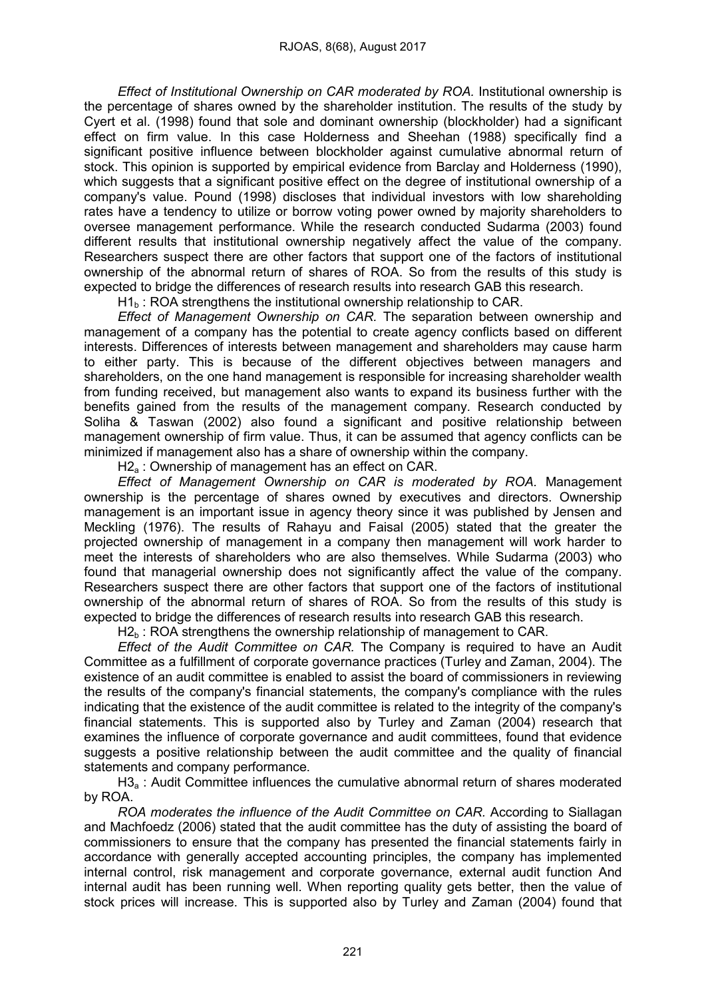*Effect of Institutional Ownership on CAR moderated by ROA.* Institutional ownership is the percentage of shares owned by the shareholder institution. The results of the study by Cyert et al. (1998) found that sole and dominant ownership (blockholder) had a significant effect on firm value. In this case Holderness and Sheehan (1988) specifically find a significant positive influence between blockholder against cumulative abnormal return of stock. This opinion is supported by empirical evidence from Barclay and Holderness (1990), which suggests that a significant positive effect on the degree of institutional ownership of a company's value. Pound (1998) discloses that individual investors with low shareholding rates have a tendency to utilize or borrow voting power owned by majority shareholders to oversee management performance. While the research conducted Sudarma (2003) found different results that institutional ownership negatively affect the value of the company. Researchers suspect there are other factors that support one of the factors of institutional ownership of the abnormal return of shares of ROA. So from the results of this study is expected to bridge the differences of research results into research GAB this research.

 $H1<sub>b</sub>$ : ROA strengthens the institutional ownership relationship to CAR.

*Effect of Management Ownership on CAR.* The separation between ownership and management of a company has the potential to create agency conflicts based on different interests. Differences of interests between management and shareholders may cause harm to either party. This is because of the different objectives between managers and shareholders, on the one hand management is responsible for increasing shareholder wealth from funding received, but management also wants to expand its business further with the benefits gained from the results of the management company. Research conducted by Soliha & Taswan (2002) also found a significant and positive relationship between management ownership of firm value. Thus, it can be assumed that agency conflicts can be minimized if management also has a share of ownership within the company.

H<sub>2</sub> : Ownership of management has an effect on CAR.

*Effect of Management Ownership on CAR is moderated by ROA.* Management ownership is the percentage of shares owned by executives and directors. Ownership management is an important issue in agency theory since it was published by Jensen and Meckling (1976). The results of Rahayu and Faisal (2005) stated that the greater the projected ownership of management in a company then management will work harder to meet the interests of shareholders who are also themselves. While Sudarma (2003) who found that managerial ownership does not significantly affect the value of the company. Researchers suspect there are other factors that support one of the factors of institutional ownership of the abnormal return of shares of ROA. So from the results of this study is expected to bridge the differences of research results into research GAB this research.

 $H2<sub>b</sub>$ : ROA strengthens the ownership relationship of management to CAR.

*Effect of the Audit Committee on CAR.* The Company is required to have an Audit Committee as a fulfillment of corporate governance practices (Turley and Zaman, 2004). The existence of an audit committee is enabled to assist the board of commissioners in reviewing the results of the company's financial statements, the company's compliance with the rules indicating that the existence of the audit committee is related to the integrity of the company's financial statements. This is supported also by Turley and Zaman (2004) research that examines the influence of corporate governance and audit committees, found that evidence suggests a positive relationship between the audit committee and the quality of financial statements and company performance.

H3a : Audit Committee influences the cumulative abnormal return of shares moderated by ROA.

*ROA moderates the influence of the Audit Committee on CAR.* According to Siallagan and Machfoedz (2006) stated that the audit committee has the duty of assisting the board of commissioners to ensure that the company has presented the financial statements fairly in accordance with generally accepted accounting principles, the company has implemented internal control, risk management and corporate governance, external audit function And internal audit has been running well. When reporting quality gets better, then the value of stock prices will increase. This is supported also by Turley and Zaman (2004) found that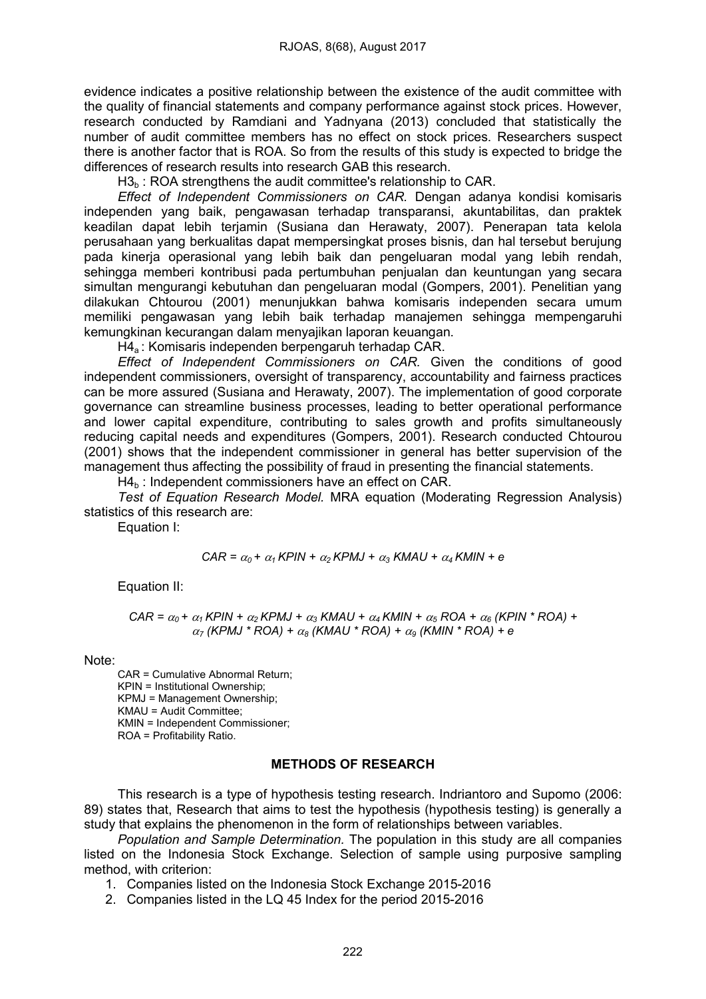evidence indicates a positive relationship between the existence of the audit committee with the quality of financial statements and company performance against stock prices. However, research conducted by Ramdiani and Yadnyana (2013) concluded that statistically the number of audit committee members has no effect on stock prices. Researchers suspect there is another factor that is ROA. So from the results of this study is expected to bridge the differences of research results into research GAB this research.

 $H3<sub>b</sub>$ : ROA strengthens the audit committee's relationship to CAR.

*Effect of Independent Commissioners on CAR.* Dengan adanya kondisi komisaris independen yang baik, pengawasan terhadap transparansi, akuntabilitas, dan praktek keadilan dapat lebih terjamin (Susiana dan Herawaty, 2007). Penerapan tata kelola perusahaan yang berkualitas dapat mempersingkat proses bisnis, dan hal tersebut berujung pada kinerja operasional yang lebih baik dan pengeluaran modal yang lebih rendah, sehingga memberi kontribusi pada pertumbuhan penjualan dan keuntungan yang secara simultan mengurangi kebutuhan dan pengeluaran modal (Gompers, 2001). Penelitian yang dilakukan Chtourou (2001) menunjukkan bahwa komisaris independen secara umum memiliki pengawasan yang lebih baik terhadap manajemen sehingga mempengaruhi kemungkinan kecurangan dalam menyajikan laporan keuangan.

H4a : Komisaris independen berpengaruh terhadap CAR.

*Effect of Independent Commissioners on CAR.* Given the conditions of good independent commissioners, oversight of transparency, accountability and fairness practices can be more assured (Susiana and Herawaty, 2007). The implementation of good corporate governance can streamline business processes, leading to better operational performance and lower capital expenditure, contributing to sales growth and profits simultaneously reducing capital needs and expenditures (Gompers, 2001). Research conducted Chtourou (2001) shows that the independent commissioner in general has better supervision of the management thus affecting the possibility of fraud in presenting the financial statements.

 $H4<sub>b</sub>$ : Independent commissioners have an effect on CAR.

*Test of Equation Research Model.* MRA equation (Moderating Regression Analysis) statistics of this research are:

Equation I:

$$
CAR = \alpha_0 + \alpha_1 KPIN + \alpha_2 KPMJ + \alpha_3 KMAU + \alpha_4 KMIN + e
$$

Equation II:

$$
CAR = \alpha_0 + \alpha_1 KPIN + \alpha_2 KPMJ + \alpha_3 KMAU + \alpha_4 KMIN + \alpha_5 ROA + \alpha_6 (KPIN * ROA) + \alpha_7 (KPMJ * ROA) + \alpha_8 (KMAU * ROA) + \alpha_9 (KMIN * ROA) + e
$$

Note:

CAR = Cumulative Abnormal Return; KPIN = Institutional Ownership; KPMJ = Management Ownership; KMAU = Audit Committee; KMIN = Independent Commissioner; ROA = Profitability Ratio.

### METHODS OF RESEARCH

This research is a type of hypothesis testing research. Indriantoro and Supomo (2006: 89) states that, Research that aims to test the hypothesis (hypothesis testing) is generally a study that explains the phenomenon in the form of relationships between variables.

*Population and Sample Determination.* The population in this study are all companies listed on the Indonesia Stock Exchange. Selection of sample using purposive sampling method, with criterion:

1. Companies listed on the Indonesia Stock Exchange 2015-2016

2. Companies listed in the LQ 45 Index for the period 2015-2016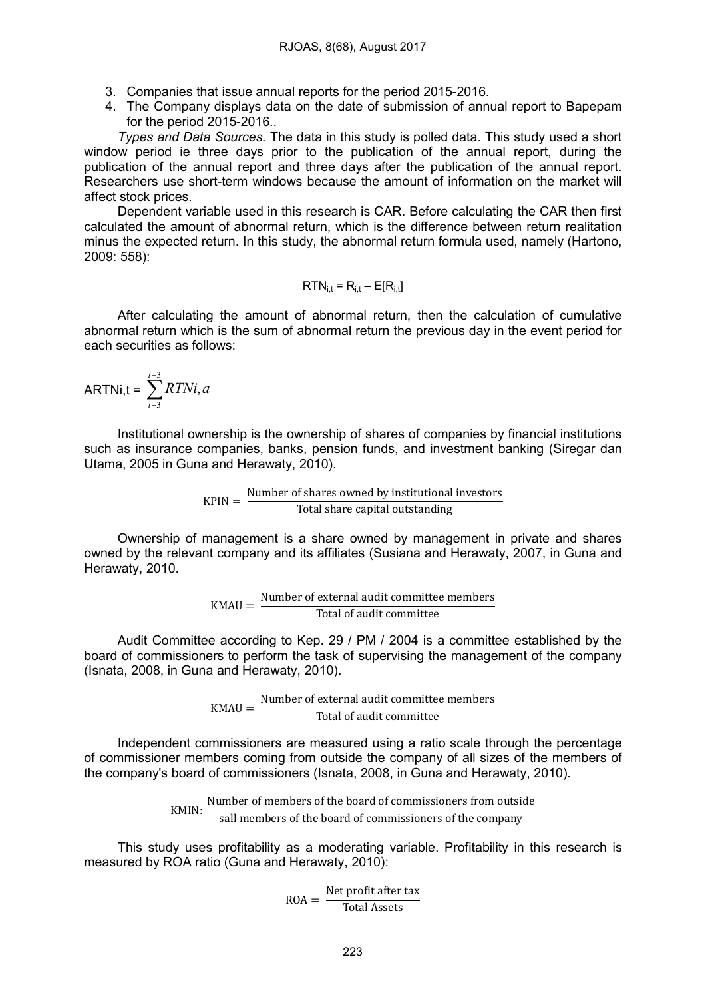- 3. Companies that issue annual reports for the period 2015-2016.
- 4. The Company displays data on the date of submission of annual report to Bapepam for the period 2015-2016..

*Types and Data Sources.* The data in this study is polled data. This study used a short window period ie three days prior to the publication of the annual report, during the publication of the annual report and three days after the publication of the annual report. Researchers use short-term windows because the amount of information on the market will affect stock prices.

Dependent variable used in this research is CAR. Before calculating the CAR then first calculated the amount of abnormal return, which is the difference between return realitation minus the expected return. In this study, the abnormal return formula used, namely (Hartono, 2009: 558):

$$
RTN_{i,t} = R_{i,t} - E[R_{i,t}]
$$

After calculating the amount of abnormal return, then the calculation of cumulative abnormal return which is the sum of abnormal return the previous day in the event period for each securities as follows:

ARTNi,t = 
$$
\sum_{t=3}^{t+3} RTNi, a
$$

Institutional ownership is the ownership of shares of companies by financial institutions such as insurance companies, banks, pension funds, and investment banking (Siregar dan Utama, 2005 in Guna and Herawaty, 2010).

 $KPIN = \frac{Number\ of\ shares\ owned\ by\ institutional\ investors}{Total\ share\ capital\ outstanding}$ 

Ownership of management is a share owned by management in private and shares owned by the relevant company and its affiliates (Susiana and Herawaty, 2007, in Guna and Herawaty, 2010.

$$
KMAU = \frac{Number of external audit committee members}{Total of audit committee}
$$

Audit Committee according to Kep. 29 / PM / 2004 is a committee established by the board of commissioners to perform the task of supervising the management of the company (Isnata, 2008, in Guna and Herawaty, 2010).

> $KMAU =$  Number of external audit committee members Total of audit committee

Independent commissioners are measured using a ratio scale through the percentage of commissioner members coming from outside the company of all sizes of the members of the company's board of commissioners (Isnata, 2008, in Guna and Herawaty, 2010).

> KMIN: Number of members of the board of commissioners from outside<br>KMIN:  $\frac{N}{\sigma}$ sall members of the board of commissioners of the company

This study uses profitability as a moderating variable. Profitability in this research is measured by ROA ratio (Guna and Herawaty, 2010):

 $\text{ROA} = \frac{\text{Net profit after tax}}{\text{Total Assets}}$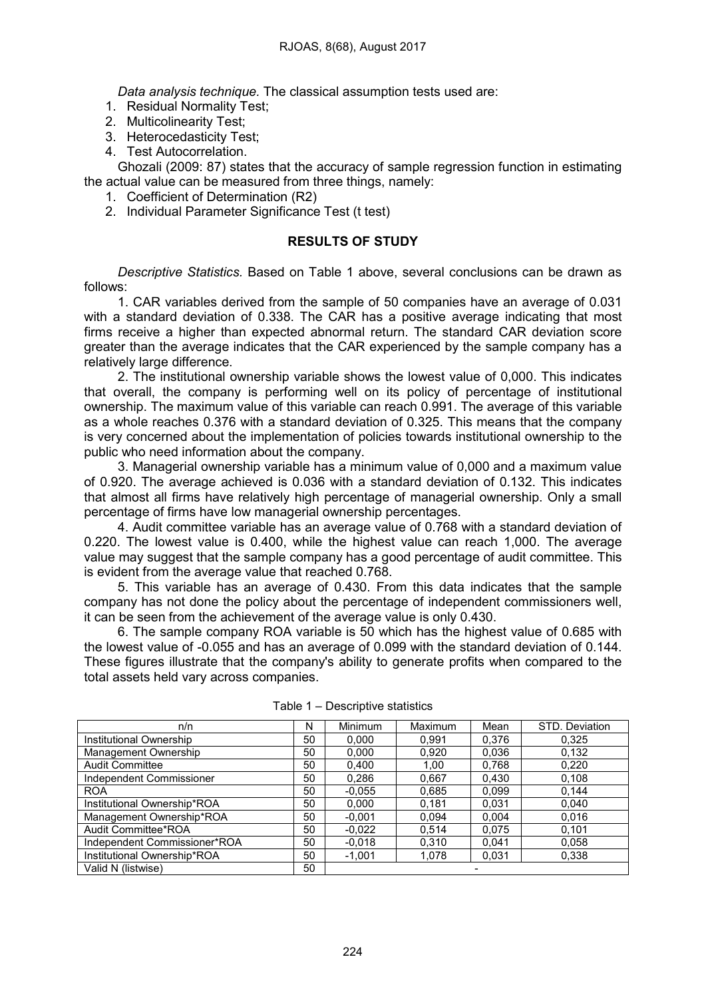*Data analysis technique.* The classical assumption tests used are:

- 1. Residual Normality Test;
- 2. Multicolinearity Test;
- 3. Heterocedasticity Test;
- 4. Test Autocorrelation.

Ghozali (2009: 87) states that the accuracy of sample regression function in estimating the actual value can be measured from three things, namely:

- 1. Coefficient of Determination (R2)
- 2. Individual Parameter Significance Test (t test)

## RESULTS OF STUDY

*Descriptive Statistics.* Based on Table 1 above, several conclusions can be drawn as follows:

1. CAR variables derived from the sample of 50 companies have an average of 0.031 with a standard deviation of 0.338. The CAR has a positive average indicating that most firms receive a higher than expected abnormal return. The standard CAR deviation score greater than the average indicates that the CAR experienced by the sample company has a relatively large difference.

2. The institutional ownership variable shows the lowest value of 0,000. This indicates that overall, the company is performing well on its policy of percentage of institutional ownership. The maximum value of this variable can reach 0.991. The average of this variable as a whole reaches 0.376 with a standard deviation of 0.325. This means that the company is very concerned about the implementation of policies towards institutional ownership to the public who need information about the company.

3. Managerial ownership variable has a minimum value of 0,000 and a maximum value of 0.920. The average achieved is 0.036 with a standard deviation of 0.132. This indicates that almost all firms have relatively high percentage of managerial ownership. Only a small percentage of firms have low managerial ownership percentages.

4. Audit committee variable has an average value of 0.768 with a standard deviation of 0.220. The lowest value is 0.400, while the highest value can reach 1,000. The average value may suggest that the sample company has a good percentage of audit committee. This is evident from the average value that reached 0.768.

5. This variable has an average of 0.430. From this data indicates that the sample company has not done the policy about the percentage of independent commissioners well, it can be seen from the achievement of the average value is only 0.430.

6. The sample company ROA variable is 50 which has the highest value of 0.685 with the lowest value of -0.055 and has an average of 0.099 with the standard deviation of 0.144. These figures illustrate that the company's ability to generate profits when compared to the total assets held vary across companies.

| n/n                          | N  | <b>Minimum</b> | <b>Maximum</b> | Mean  | STD. Deviation |
|------------------------------|----|----------------|----------------|-------|----------------|
| Institutional Ownership      | 50 | 0.000          | 0.991          | 0.376 | 0.325          |
| Management Ownership         | 50 | 0.000          | 0.920          | 0.036 | 0.132          |
| Audit Committee              | 50 | 0.400          | 1.00           | 0.768 | 0.220          |
| Independent Commissioner     | 50 | 0.286          | 0,667          | 0.430 | 0.108          |
| <b>ROA</b>                   | 50 | $-0.055$       | 0,685          | 0.099 | 0.144          |
| Institutional Ownership*ROA  | 50 | 0,000          | 0.181          | 0.031 | 0,040          |
| Management Ownership*ROA     | 50 | $-0.001$       | 0.094          | 0.004 | 0,016          |
| Audit Committee*ROA          | 50 | $-0.022$       | 0.514          | 0.075 | 0.101          |
| Independent Commissioner*ROA | 50 | $-0.018$       | 0.310          | 0.041 | 0,058          |
| Institutional Ownership*ROA  | 50 | $-1,001$       | 1,078          | 0,031 | 0.338          |
| Valid N (listwise)           | 50 |                |                |       |                |

Table 1 – Descriptive statistics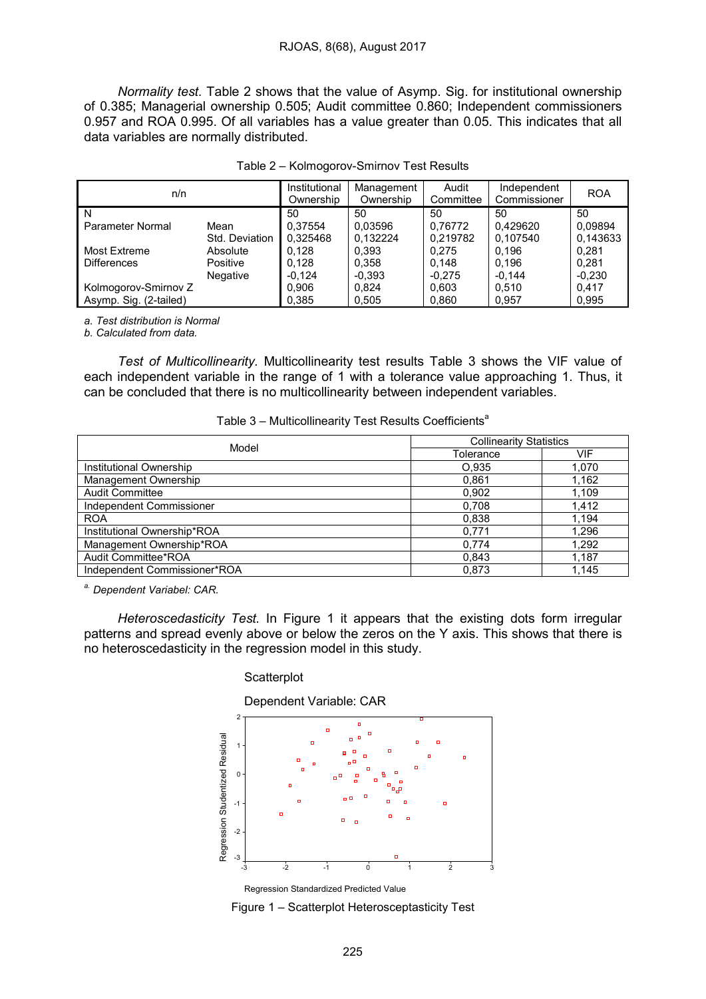*Normality test.* Table 2 shows that the value of Asymp. Sig. for institutional ownership of 0.385; Managerial ownership 0.505; Audit committee 0.860; Independent commissioners 0.957 and ROA 0.995. Of all variables has a value greater than 0.05. This indicates that all data variables are normally distributed.

| n/n                    |                | Institutional<br>Ownership | Management<br>Ownership | Audit<br>Committee | Independent<br>Commissioner | <b>ROA</b> |
|------------------------|----------------|----------------------------|-------------------------|--------------------|-----------------------------|------------|
| N                      |                | 50                         | 50                      | 50                 | 50                          | 50         |
| Parameter Normal       | Mean           | 0.37554                    | 0.03596                 | 0.76772            | 0.429620                    | 0,09894    |
|                        | Std. Deviation | 0.325468                   | 0.132224                | 0,219782           | 0.107540                    | 0.143633   |
| <b>Most Extreme</b>    | Absolute       | 0.128                      | 0,393                   | 0,275              | 0.196                       | 0,281      |
| <b>Differences</b>     | Positive       | 0.128                      | 0.358                   | 0.148              | 0.196                       | 0,281      |
|                        | Negative       | $-0.124$                   | $-0.393$                | $-0.275$           | $-0,144$                    | $-0,230$   |
| Kolmogorov-Smirnov Z   |                | 0.906                      | 0.824                   | 0.603              | 0.510                       | 0,417      |
| Asymp. Sig. (2-tailed) |                | 0.385                      | 0,505                   | 0,860              | 0.957                       | 0,995      |

|  | Table 2 - Kolmogorov-Smirnov Test Results |
|--|-------------------------------------------|
|  |                                           |

*a. Test distribution is Normal*

*b. Calculated from data.*

*Test of Multicollinearity.* Multicollinearity test results Table 3 shows the VIF value of each independent variable in the range of 1 with a tolerance value approaching 1. Thus, it can be concluded that there is no multicollinearity between independent variables.

| Table 3 - Multicollinearity Test Results Coefficients <sup>a</sup> |  |
|--------------------------------------------------------------------|--|
|--------------------------------------------------------------------|--|

| Model                        | <b>Collinearity Statistics</b> |       |  |
|------------------------------|--------------------------------|-------|--|
|                              | Tolerance                      | VIF   |  |
| Institutional Ownership      | O.935                          | 1,070 |  |
| Management Ownership         | 0,861                          | 1,162 |  |
| Audit Committee              | 0,902                          | 1,109 |  |
| Independent Commissioner     | 0,708                          | 1,412 |  |
| <b>ROA</b>                   | 0,838                          | 1.194 |  |
| Institutional Ownership*ROA  | 0,771                          | 1,296 |  |
| Management Ownership*ROA     | 0,774                          | 1,292 |  |
| Audit Committee*ROA          | 0,843                          | 1,187 |  |
| Independent Commissioner*ROA | 0.873                          | 1,145 |  |

*a. Dependent Variabel: CAR.*

*Heteroscedasticity Test.* In Figure 1 it appears that the existing dots form irregular patterns and spread evenly above or below the zeros on the Y axis. This shows that there is no heteroscedasticity in the regression model in this study.

#### **Scatterplot**

Dependent Variable: CAR



Figure 1 – Scatterplot Heterosceptasticity Test Regression Standardized Predicted Value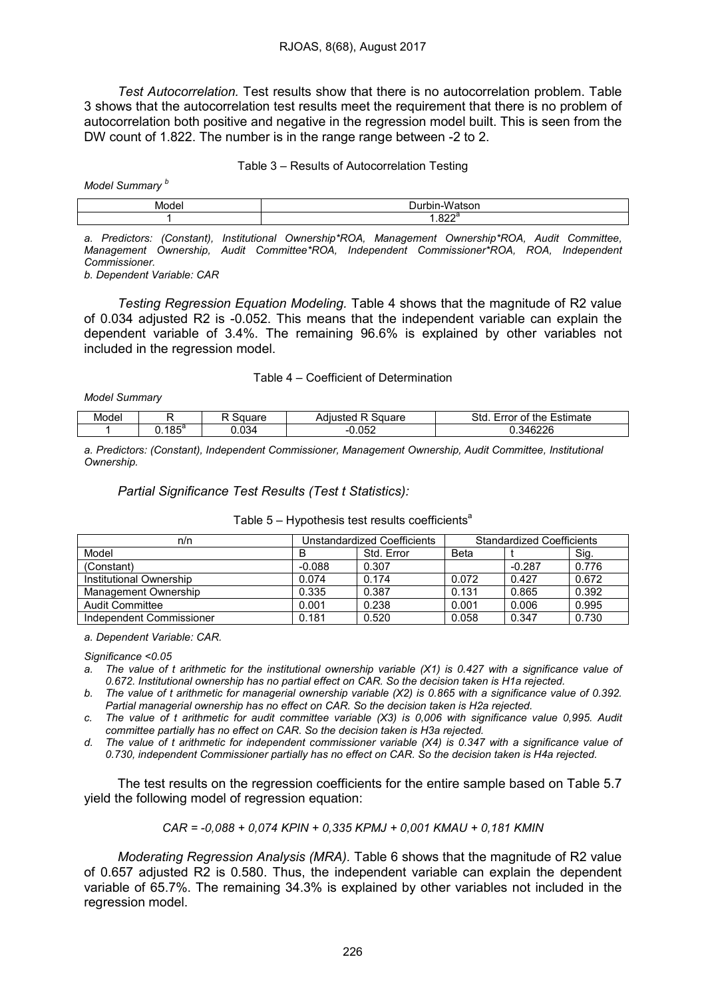*Test Autocorrelation.* Test results show that there is no autocorrelation problem. Table 3 shows that the autocorrelation test results meet the requirement that there is no problem of autocorrelation both positive and negative in the regression model built. This is seen from the DW count of 1.822. The number is in the range range between -2 to 2.

#### Table 3 – Results of Autocorrelation Testing

*Model Summary <sup>b</sup>*

| ◡ |
|---|
|   |

*a. Predictors: (Constant), Institutional Ownership\*ROA, Management Ownership\*ROA, Audit Committee, Management Ownership, Audit Committee\*ROA, Independent Commissioner\*ROA, ROA, Independent Commissioner.*

*b. Dependent Variable: CAR*

*Testing Regression Equation Modeling.* Table 4 shows that the magnitude of R2 value of 0.034 adjusted R2 is -0.052. This means that the independent variable can explain the dependent variable of 3.4%. The remaining 96.6% is explained by other variables not included in the regression model.

#### Table 4 – Coefficient of Determination

*Model Summary*

| Model |        | - - - | quare<br>- | $\sim$<br>≞stımate<br>$\frac{1}{2}$<br>me<br>ורזז<br>ור |
|-------|--------|-------|------------|---------------------------------------------------------|
|       | ∣ o ⊏ª | ΩΩ    | nro        | .0000                                                   |
|       | ט ו    | J.U34 | .uj.       | . JZZU                                                  |

*a. Predictors: (Constant), Independent Commissioner, Management Ownership, Audit Committee, Institutional Ownership.*

### *Partial Significance Test Results (Test t Statistics):*

| n/n                      | Unstandardized Coefficients |            | <b>Standardized Coefficients</b> |          |       |
|--------------------------|-----------------------------|------------|----------------------------------|----------|-------|
| Model                    | в                           | Std. Error | Beta                             |          | Sig.  |
| (Constant)               | $-0.088$                    | 0.307      |                                  | $-0.287$ | 0.776 |
| Institutional Ownership  | 0.074                       | 0.174      | 0.072                            | 0.427    | 0.672 |
| Management Ownership     | 0.335                       | 0.387      | 0.131                            | 0.865    | 0.392 |
| Audit Committee          | 0.001                       | 0.238      | 0.001                            | 0.006    | 0.995 |
| Independent Commissioner | 0.181                       | 0.520      | 0.058                            | 0.347    | 0.730 |

#### Table  $5 -$  Hypothesis test results coefficients<sup>a</sup>

*a. Dependent Variable: CAR.*

*Significance <0.05*

- a. The value of t arithmetic for the institutional ownership variable (X1) is 0.427 with a significance value of *0.672. Institutional ownership has no partial effect on CAR. So the decision taken is H1a rejected.*
- b. The value of t arithmetic for managerial ownership variable (X2) is 0.865 with a significance value of 0.392. *Partial managerial ownership has no effect on CAR. So the decision taken is H2a rejected.*

c. The value of t arithmetic for audit committee variable (X3) is 0,006 with significance value 0,995. Audit *committee partially has no effect on CAR. So the decision taken is H3a rejected.*

d. The value of t arithmetic for independent commissioner variable (X4) is 0.347 with a significance value of *0.730, independent Commissioner partially has no effect on CAR. So the decision taken is H4a rejected.*

The test results on the regression coefficients for the entire sample based on Table 5.7 yield the following model of regression equation:

$$
CAR = -0.088 + 0.074 KPIN + 0.335 KPMJ + 0.001 KMAU + 0.181 KMIN
$$

*Moderating Regression Analysis (MRA).* Table 6 shows that the magnitude of R2 value of 0.657 adjusted R2 is 0.580. Thus, the independent variable can explain the dependent variable of 65.7%. The remaining 34.3% is explained by other variables not included in the regression model.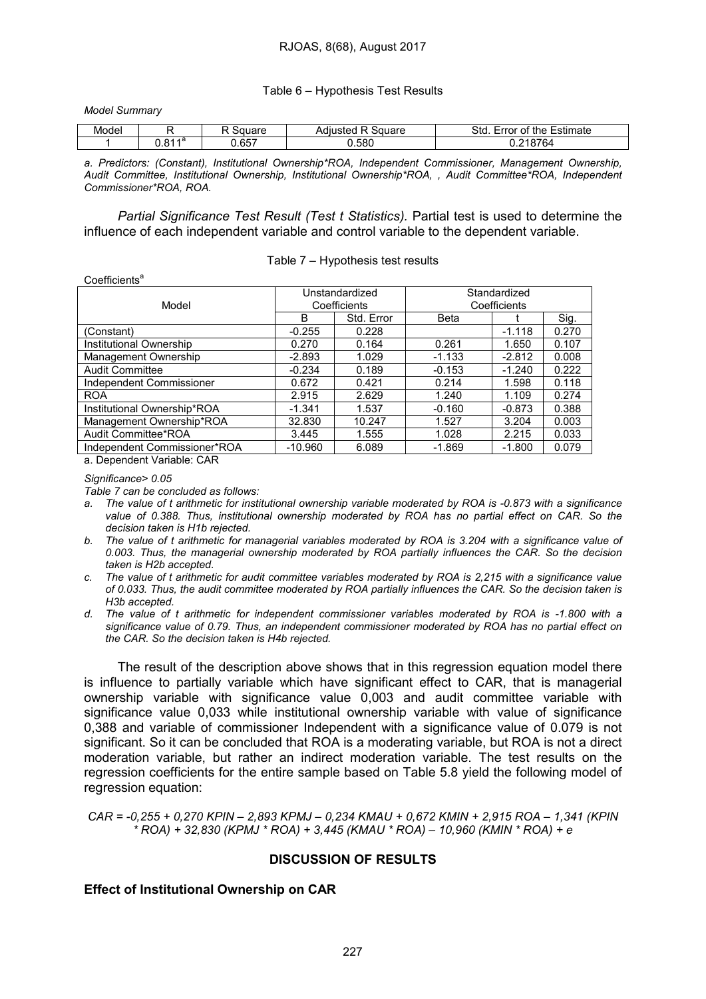Table 6 – Hypothesis Test Results

*Model Summary*

 $Conefficient<sup>a</sup>$ 

| Model |                         | $\sim$ $ -$ | $\alpha$<br>י∺י<br>™uaru | ∶stımate<br>the<br>510<br>ног |
|-------|-------------------------|-------------|--------------------------|-------------------------------|
|       | <b>Ad</b><br>-04<br>. . | 657.،       | .580                     |                               |

*a. Predictors: (Constant), Institutional Ownership\*ROA, Independent Commissioner, Management Ownership, Audit Committee, Institutional Ownership, Institutional Ownership\*ROA, , Audit Committee\*ROA, Independent Commissioner\*ROA, ROA.*

*Partial Significance Test Result (Test t Statistics).* Partial test is used to determine the influence of each independent variable and control variable to the dependent variable.

Table 7 – Hypothesis test results

| <b>UUUIIUUIIIU</b>           |                                |            |                              |          |       |  |
|------------------------------|--------------------------------|------------|------------------------------|----------|-------|--|
| Model                        | Unstandardized<br>Coefficients |            | Standardized<br>Coefficients |          |       |  |
|                              |                                |            |                              |          |       |  |
|                              | B                              | Std. Error | Beta                         |          | Sig.  |  |
| (Constant)                   | $-0.255$                       | 0.228      |                              | $-1.118$ | 0.270 |  |
| Institutional Ownership      | 0.270                          | 0.164      | 0.261                        | 1.650    | 0.107 |  |
| Management Ownership         | $-2.893$                       | 1.029      | $-1.133$                     | $-2.812$ | 0.008 |  |
| <b>Audit Committee</b>       | $-0.234$                       | 0.189      | $-0.153$                     | $-1.240$ | 0.222 |  |
| Independent Commissioner     | 0.672                          | 0.421      | 0.214                        | 1.598    | 0.118 |  |
| <b>ROA</b>                   | 2.915                          | 2.629      | 1.240                        | 1.109    | 0.274 |  |
| Institutional Ownership*ROA  | $-1.341$                       | 1.537      | $-0.160$                     | $-0.873$ | 0.388 |  |
| Management Ownership*ROA     | 32.830                         | 10.247     | 1.527                        | 3.204    | 0.003 |  |
| Audit Committee*ROA          | 3.445                          | 1.555      | 1.028                        | 2.215    | 0.033 |  |
| Independent Commissioner*ROA | $-10.960$                      | 6.089      | $-1.869$                     | $-1.800$ | 0.079 |  |
| a. Dependent Variable: CAR   |                                |            |                              |          |       |  |

*Significance> 0.05*

*Table 7 can be concluded as follows:*

- a. The value of t arithmetic for institutional ownership variable moderated by ROA is -0.873 with a significance *value of 0.388. Thus, institutional ownership moderated by ROA has no partial effect on CAR. So the decision taken is H1b rejected.*
- b. The value of t arithmetic for managerial variables moderated by ROA is 3.204 with a significance value of *0.003. Thus, the managerial ownership moderated by ROA partially influences the CAR. So the decision taken is H2b accepted.*
- c. The value of t arithmetic for audit committee variables moderated by ROA is 2,215 with a significance value of 0.033. Thus, the audit committee moderated by ROA partially influences the CAR. So the decision taken is *H3b accepted.*
- *d. The value of t arithmetic for independent commissioner variables moderated by ROA is -1.800 with a significance value of 0.79. Thus, an independent commissioner moderated by ROA has no partial effect on the CAR. So the decision taken is H4b rejected.*

The result of the description above shows that in this regression equation model there is influence to partially variable which have significant effect to CAR, that is managerial ownership variable with significance value 0,003 and audit committee variable with significance value 0,033 while institutional ownership variable with value of significance 0,388 and variable of commissioner Independent with a significance value of 0.079 is not significant. So it can be concluded that ROA is a moderating variable, but ROA is not a direct moderation variable, but rather an indirect moderation variable. The test results on the regression coefficients for the entire sample based on Table 5.8 yield the following model of regression equation:

CAR = -0,255 + 0,270 KPIN - 2,893 KPMJ - 0,234 KMAU + 0,672 KMIN + 2,915 ROA - 1,341 (KPIN *\* ROA) + 32,830 (KPMJ \* ROA) + 3,445 (KMAU \* ROA) – 10,960 (KMIN \* ROA) + e*

### DISCUSSION OF RESULTS

### Effect of Institutional Ownership on CAR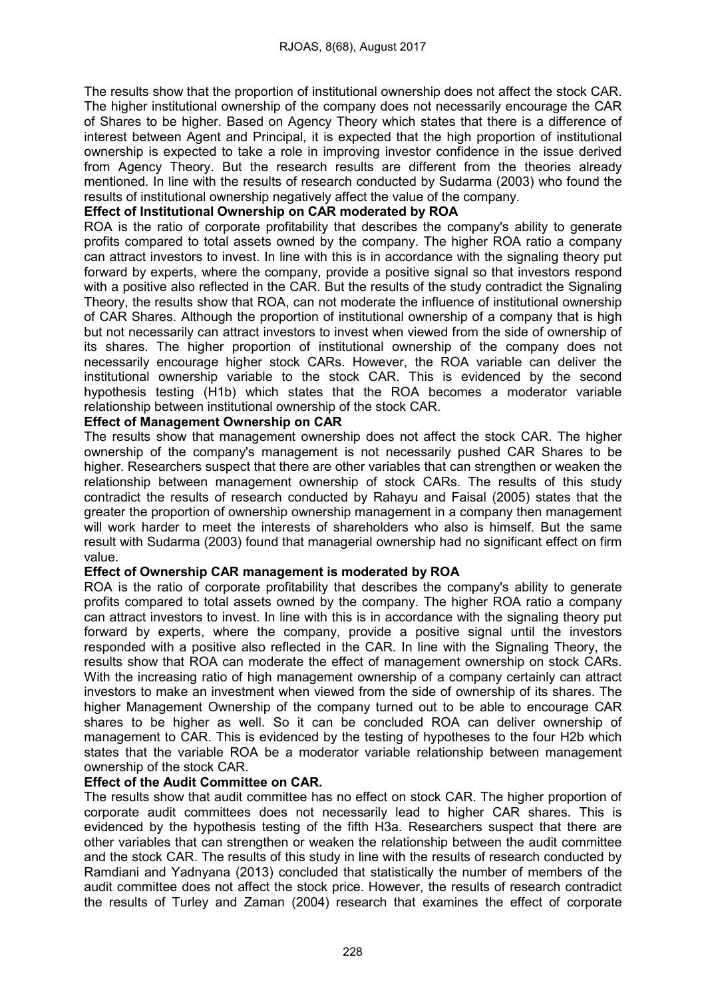The results show that the proportion of institutional ownership does not affect the stock CAR. The higher institutional ownership of the company does not necessarily encourage the CAR of Shares to be higher. Based on Agency Theory which states that there is a difference of interest between Agent and Principal, it is expected that the high proportion of institutional ownership is expected to take a role in improving investor confidence in the issue derived from Agency Theory. But the research results are different from the theories already mentioned. In line with the results of research conducted by Sudarma (2003) who found the results of institutional ownership negatively affect the value of the company.

# Effect of Institutional Ownership on CAR moderated by ROA

ROA is the ratio of corporate profitability that describes the company's ability to generate profits compared to total assets owned by the company. The higher ROA ratio a company can attract investors to invest. In line with this is in accordance with the signaling theory put forward by experts, where the company, provide a positive signal so that investors respond with a positive also reflected in the CAR. But the results of the study contradict the Signaling Theory, the results show that ROA, can not moderate the influence of institutional ownership of CAR Shares. Although the proportion of institutional ownership of a company that is high but not necessarily can attract investors to invest when viewed from the side of ownership of its shares. The higher proportion of institutional ownership of the company does not necessarily encourage higher stock CARs. However, the ROA variable can deliver the institutional ownership variable to the stock CAR. This is evidenced by the second hypothesis testing (H1b) which states that the ROA becomes a moderator variable relationship between institutional ownership of the stock CAR.

# Effect of Management Ownership on CAR

The results show that management ownership does not affect the stock CAR. The higher ownership of the company's management is not necessarily pushed CAR Shares to be higher. Researchers suspect that there are other variables that can strengthen or weaken the relationship between management ownership of stock CARs. The results of this study contradict the results of research conducted by Rahayu and Faisal (2005) states that the greater the proportion of ownership ownership management in a company then management will work harder to meet the interests of shareholders who also is himself. But the same result with Sudarma (2003) found that managerial ownership had no significant effect on firm value.

# Effect of Ownership CAR management is moderated by ROA

ROA is the ratio of corporate profitability that describes the company's ability to generate profits compared to total assets owned by the company. The higher ROA ratio a company can attract investors to invest. In line with this is in accordance with the signaling theory put forward by experts, where the company, provide a positive signal until the investors responded with a positive also reflected in the CAR. In line with the Signaling Theory, the results show that ROA can moderate the effect of management ownership on stock CARs. With the increasing ratio of high management ownership of a company certainly can attract investors to make an investment when viewed from the side of ownership of its shares. The higher Management Ownership of the company turned out to be able to encourage CAR shares to be higher as well. So it can be concluded ROA can deliver ownership of management to CAR. This is evidenced by the testing of hypotheses to the four H2b which states that the variable ROA be a moderator variable relationship between management ownership of the stock CAR.

# Effect of the Audit Committee on CAR.

The results show that audit committee has no effect on stock CAR. The higher proportion of corporate audit committees does not necessarily lead to higher CAR shares. This is evidenced by the hypothesis testing of the fifth H3a. Researchers suspect that there are other variables that can strengthen or weaken the relationship between the audit committee and the stock CAR. The results of this study in line with the results of research conducted by Ramdiani and Yadnyana (2013) concluded that statistically the number of members of the audit committee does not affect the stock price. However, the results of research contradict the results of Turley and Zaman (2004) research that examines the effect of corporate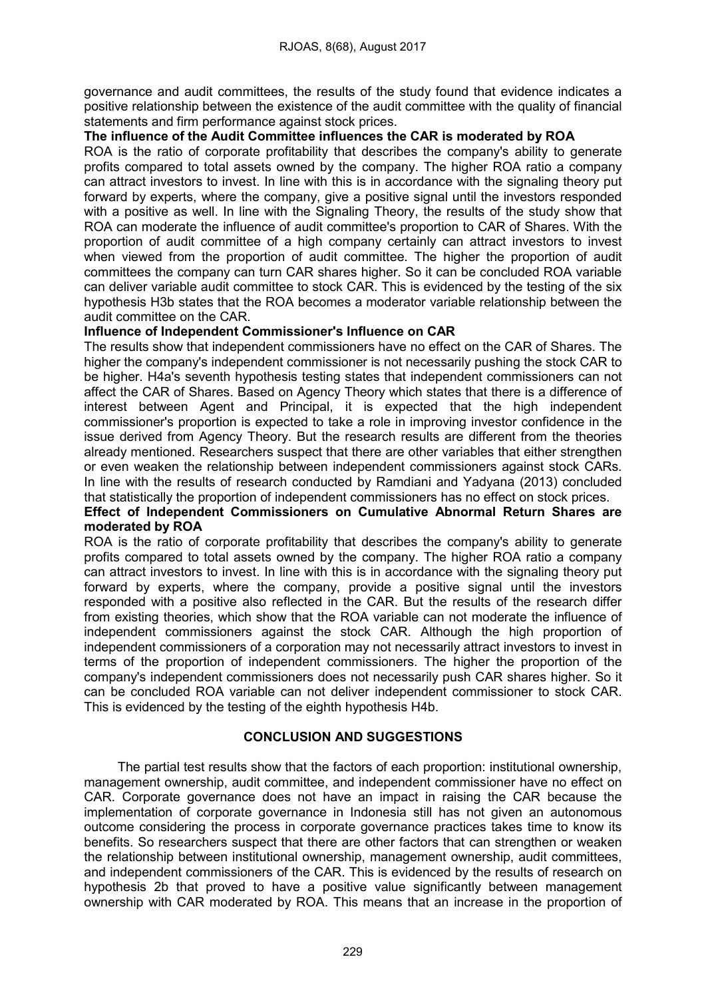governance and audit committees, the results of the study found that evidence indicates a positive relationship between the existence of the audit committee with the quality of financial statements and firm performance against stock prices.

## The influence of the Audit Committee influences the CAR is moderated by ROA

ROA is the ratio of corporate profitability that describes the company's ability to generate profits compared to total assets owned by the company. The higher ROA ratio a company can attract investors to invest. In line with this is in accordance with the signaling theory put forward by experts, where the company, give a positive signal until the investors responded with a positive as well. In line with the Signaling Theory, the results of the study show that ROA can moderate the influence of audit committee's proportion to CAR of Shares. With the proportion of audit committee of a high company certainly can attract investors to invest when viewed from the proportion of audit committee. The higher the proportion of audit committees the company can turn CAR shares higher. So it can be concluded ROA variable can deliver variable audit committee to stock CAR. This is evidenced by the testing of the six hypothesis H3b states that the ROA becomes a moderator variable relationship between the audit committee on the CAR.

### Influence of Independent Commissioner's Influence on CAR

The results show that independent commissioners have no effect on the CAR of Shares. The higher the company's independent commissioner is not necessarily pushing the stock CAR to be higher. H4a's seventh hypothesis testing states that independent commissioners can not affect the CAR of Shares. Based on Agency Theory which states that there is a difference of interest between Agent and Principal, it is expected that the high independent commissioner's proportion is expected to take a role in improving investor confidence in the issue derived from Agency Theory. But the research results are different from the theories already mentioned. Researchers suspect that there are other variables that either strengthen or even weaken the relationship between independent commissioners against stock CARs. In line with the results of research conducted by Ramdiani and Yadyana (2013) concluded that statistically the proportion of independent commissioners has no effect on stock prices.

# Effect of Independent Commissioners on Cumulative Abnormal Return Shares are moderated by ROA

ROA is the ratio of corporate profitability that describes the company's ability to generate profits compared to total assets owned by the company. The higher ROA ratio a company can attract investors to invest. In line with this is in accordance with the signaling theory put forward by experts, where the company, provide a positive signal until the investors responded with a positive also reflected in the CAR. But the results of the research differ from existing theories, which show that the ROA variable can not moderate the influence of independent commissioners against the stock CAR. Although the high proportion of independent commissioners of a corporation may not necessarily attract investors to invest in terms of the proportion of independent commissioners. The higher the proportion of the company's independent commissioners does not necessarily push CAR shares higher. So it can be concluded ROA variable can not deliver independent commissioner to stock CAR. This is evidenced by the testing of the eighth hypothesis H4b.

# CONCLUSION AND SUGGESTIONS

The partial test results show that the factors of each proportion: institutional ownership, management ownership, audit committee, and independent commissioner have no effect on CAR. Corporate governance does not have an impact in raising the CAR because the implementation of corporate governance in Indonesia still has not given an autonomous outcome considering the process in corporate governance practices takes time to know its benefits. So researchers suspect that there are other factors that can strengthen or weaken the relationship between institutional ownership, management ownership, audit committees, and independent commissioners of the CAR. This is evidenced by the results of research on hypothesis 2b that proved to have a positive value significantly between management ownership with CAR moderated by ROA. This means that an increase in the proportion of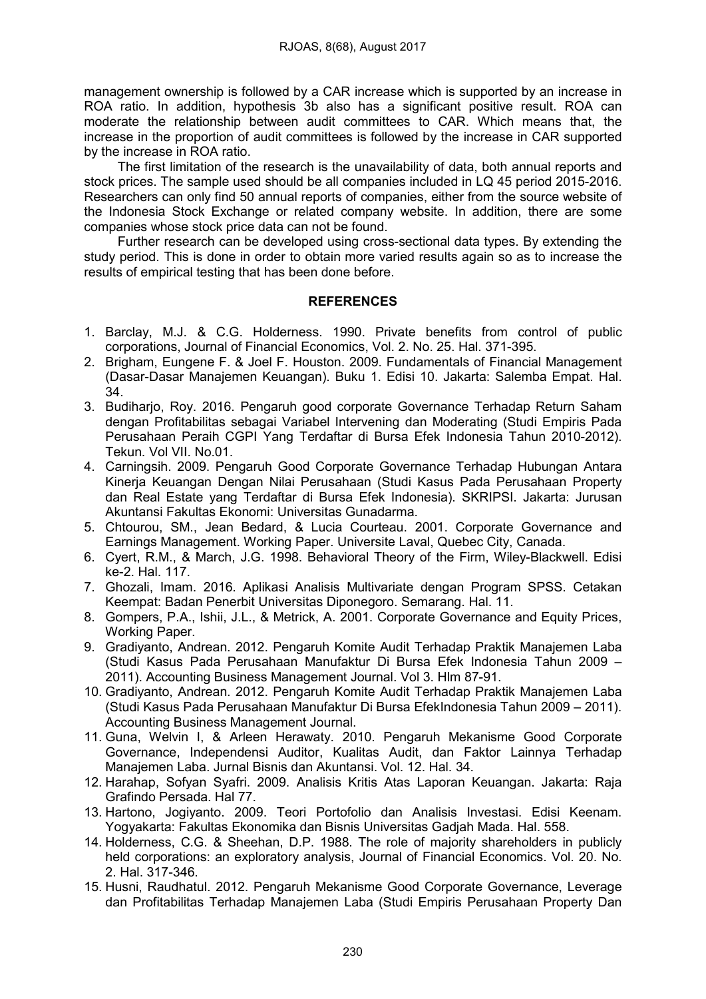management ownership is followed by a CAR increase which is supported by an increase in ROA ratio. In addition, hypothesis 3b also has a significant positive result. ROA can moderate the relationship between audit committees to CAR. Which means that, the increase in the proportion of audit committees is followed by the increase in CAR supported by the increase in ROA ratio.

The first limitation of the research is the unavailability of data, both annual reports and stock prices. The sample used should be all companies included in LQ 45 period 2015-2016. Researchers can only find 50 annual reports of companies, either from the source website of the Indonesia Stock Exchange or related company website. In addition, there are some companies whose stock price data can not be found.

Further research can be developed using cross-sectional data types. By extending the study period. This is done in order to obtain more varied results again so as to increase the results of empirical testing that has been done before.

### **REFERENCES**

- 1. Barclay, M.J. & C.G. Holderness. 1990. Private benefits from control of public corporations, Journal of Financial Economics, Vol. 2. No. 25. Hal. 371-395.
- 2. Brigham, Eungene F. & Joel F. Houston. 2009. Fundamentals of Financial Management (Dasar-Dasar Manajemen Keuangan). Buku 1. Edisi 10. Jakarta: Salemba Empat. Hal. 34.
- 3. Budiharjo, Roy. 2016. Pengaruh good corporate Governance Terhadap Return Saham dengan Profitabilitas sebagai Variabel Intervening dan Moderating (Studi Empiris Pada Perusahaan Peraih CGPI Yang Terdaftar di Bursa Efek Indonesia Tahun 2010-2012). Tekun. Vol VII. No.01.
- 4. Carningsih. 2009. Pengaruh Good Corporate Governance Terhadap Hubungan Antara Kinerja Keuangan Dengan Nilai Perusahaan (Studi Kasus Pada Perusahaan Property dan Real Estate yang Terdaftar di Bursa Efek Indonesia). SKRIPSI. Jakarta: Jurusan Akuntansi Fakultas Ekonomi: Universitas Gunadarma.
- 5. Chtourou, SM., Jean Bedard, & Lucia Courteau. 2001. Corporate Governance and Earnings Management. Working Paper. Universite Laval, Quebec City, Canada.
- 6. Cyert, R.M., & March, J.G. 1998. Behavioral Theory of the Firm, Wiley-Blackwell. Edisi ke-2. Hal. 117.
- 7. Ghozali, Imam. 2016. Aplikasi Analisis Multivariate dengan Program SPSS. Cetakan Keempat: Badan Penerbit Universitas Diponegoro. Semarang. Hal. 11.
- 8. Gompers, P.A., Ishii, J.L., & Metrick, A. 2001. Corporate Governance and Equity Prices, Working Paper.
- 9. Gradiyanto, Andrean. 2012. Pengaruh Komite Audit Terhadap Praktik Manajemen Laba (Studi Kasus Pada Perusahaan Manufaktur Di Bursa Efek Indonesia Tahun 2009 – 2011). Accounting Business Management Journal. Vol 3. Hlm 87-91.
- 10. Gradiyanto, Andrean. 2012. Pengaruh Komite Audit Terhadap Praktik Manajemen Laba (Studi Kasus Pada Perusahaan Manufaktur Di Bursa EfekIndonesia Tahun 2009 – 2011). Accounting Business Management Journal.
- 11. Guna, Welvin I, & Arleen Herawaty. 2010. Pengaruh Mekanisme Good Corporate Governance, Independensi Auditor, Kualitas Audit, dan Faktor Lainnya Terhadap Manajemen Laba. Jurnal Bisnis dan Akuntansi. Vol. 12. Hal. 34.
- 12. Harahap, Sofyan Syafri. 2009. Analisis Kritis Atas Laporan Keuangan. Jakarta: Raja Grafindo Persada. Hal 77.
- 13. Hartono, Jogiyanto. 2009. Teori Portofolio dan Analisis Investasi. Edisi Keenam. Yogyakarta: Fakultas Ekonomika dan Bisnis Universitas Gadjah Mada. Hal. 558.
- 14. Holderness, C.G. & Sheehan, D.P. 1988. The role of majority shareholders in publicly held corporations: an exploratory analysis, Journal of Financial Economics. Vol. 20. No. 2. Hal. 317-346.
- 15. Husni, Raudhatul. 2012. Pengaruh Mekanisme Good Corporate Governance, Leverage dan Profitabilitas Terhadap Manajemen Laba (Studi Empiris Perusahaan Property Dan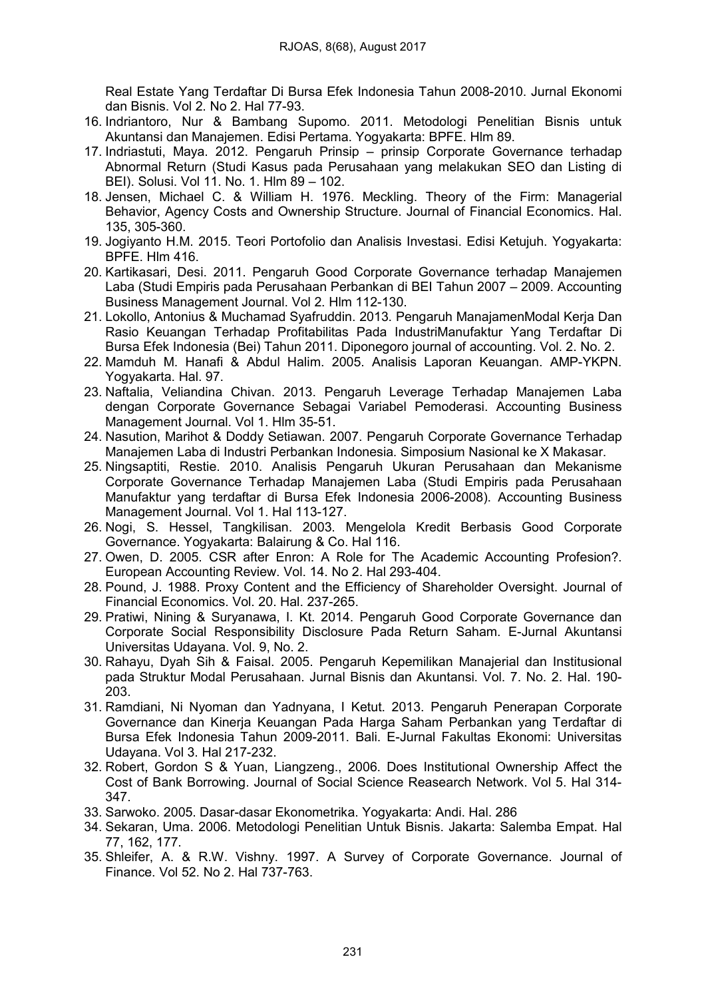Real Estate Yang Terdaftar Di Bursa Efek Indonesia Tahun 2008-2010. Jurnal Ekonomi dan Bisnis. Vol 2. No 2. Hal 77-93.

- 16. Indriantoro, Nur & Bambang Supomo. 2011. Metodologi Penelitian Bisnis untuk Akuntansi dan Manajemen. Edisi Pertama. Yogyakarta: BPFE. Hlm 89.
- 17. Indriastuti, Maya. 2012. Pengaruh Prinsip prinsip Corporate Governance terhadap Abnormal Return (Studi Kasus pada Perusahaan yang melakukan SEO dan Listing di BEI). Solusi. Vol 11. No. 1. Hlm 89 – 102.
- 18. Jensen, Michael C. & William H. 1976. Meckling. Theory of the Firm: Managerial Behavior, Agency Costs and Ownership Structure. Journal of Financial Economics. Hal. 135, 305-360.
- 19. Jogiyanto H.M. 2015. Teori Portofolio dan Analisis Investasi. Edisi Ketujuh. Yogyakarta: BPFE. Hlm 416.
- 20. Kartikasari, Desi. 2011. Pengaruh Good Corporate Governance terhadap Manajemen Laba (Studi Empiris pada Perusahaan Perbankan di BEI Tahun 2007 – 2009. Accounting Business Management Journal. Vol 2. Hlm 112-130.
- 21. Lokollo, Antonius & Muchamad Syafruddin. 2013. Pengaruh ManajamenModal Kerja Dan Rasio Keuangan Terhadap Profitabilitas Pada IndustriManufaktur Yang Terdaftar Di Bursa Efek Indonesia (Bei) Tahun 2011. Diponegoro journal of accounting. Vol. 2. No. 2.
- 22. Mamduh M. Hanafi & Abdul Halim. 2005. Analisis Laporan Keuangan. AMP-YKPN. Yogyakarta. Hal. 97.
- 23. Naftalia, Veliandina Chivan. 2013. Pengaruh Leverage Terhadap Manajemen Laba dengan Corporate Governance Sebagai Variabel Pemoderasi. Accounting Business Management Journal. Vol 1. Hlm 35-51.
- 24. Nasution, Marihot & Doddy Setiawan. 2007. Pengaruh Corporate Governance Terhadap Manajemen Laba di Industri Perbankan Indonesia. Simposium Nasional ke X Makasar.
- 25. Ningsaptiti, Restie. 2010. Analisis Pengaruh Ukuran Perusahaan dan Mekanisme Corporate Governance Terhadap Manajemen Laba (Studi Empiris pada Perusahaan Manufaktur yang terdaftar di Bursa Efek Indonesia 2006-2008). Accounting Business Management Journal. Vol 1. Hal 113-127.
- 26. Nogi, S. Hessel, Tangkilisan. 2003. Mengelola Kredit Berbasis Good Corporate Governance. Yogyakarta: Balairung & Co. Hal 116.
- 27. Owen, D. 2005. CSR after Enron: A Role for The Academic Accounting Profesion?. European Accounting Review. Vol. 14. No 2. Hal 293-404.
- 28. Pound, J. 1988. Proxy Content and the Efficiency of Shareholder Oversight. Journal of Financial Economics. Vol. 20. Hal. 237-265.
- 29. Pratiwi, Nining & Suryanawa, I. Kt. 2014. Pengaruh Good Corporate Governance dan Corporate Social Responsibility Disclosure Pada Return Saham. E-Jurnal Akuntansi Universitas Udayana. Vol. 9, No. 2.
- 30. Rahayu, Dyah Sih & Faisal. 2005. Pengaruh Kepemilikan Manajerial dan Institusional pada Struktur Modal Perusahaan. Jurnal Bisnis dan Akuntansi. Vol. 7. No. 2. Hal. 190- 203.
- 31. Ramdiani, Ni Nyoman dan Yadnyana, I Ketut. 2013. Pengaruh Penerapan Corporate Governance dan Kinerja Keuangan Pada Harga Saham Perbankan yang Terdaftar di Bursa Efek Indonesia Tahun 2009-2011. Bali. E-Jurnal Fakultas Ekonomi: Universitas Udayana. Vol 3. Hal 217-232.
- 32. Robert, Gordon S & Yuan, Liangzeng., 2006. Does Institutional Ownership Affect the Cost of Bank Borrowing. Journal of Social Science Reasearch Network. Vol 5. Hal 314- 347.
- 33. Sarwoko. 2005. Dasar-dasar Ekonometrika. Yogyakarta: Andi. Hal. 286
- 34. Sekaran, Uma. 2006. Metodologi Penelitian Untuk Bisnis. Jakarta: Salemba Empat. Hal 77, 162, 177.
- 35. Shleifer, A. & R.W. Vishny. 1997. A Survey of Corporate Governance. Journal of Finance. Vol 52. No 2. Hal 737-763.